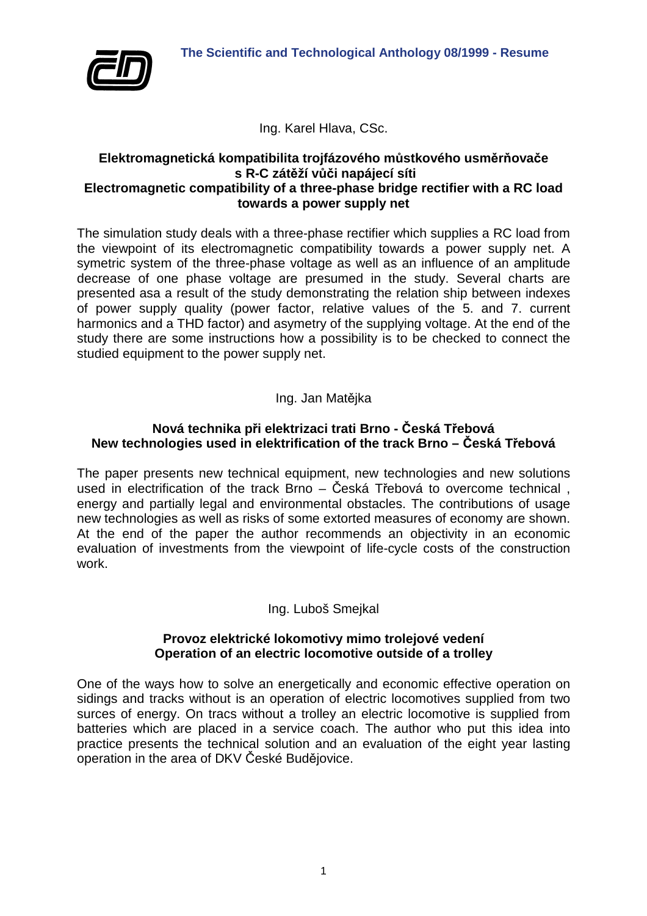

Ing. Karel Hlava, CSc.

## **Elektromagnetická kompatibilita trojfázového můstkového usměrňovače s R-C zátěží vůči napájecí síti Electromagnetic compatibility of a three-phase bridge rectifier with a RC load towards a power supply net**

The simulation study deals with a three-phase rectifier which supplies a RC load from the viewpoint of its electromagnetic compatibility towards a power supply net. A symetric system of the three-phase voltage as well as an influence of an amplitude decrease of one phase voltage are presumed in the study. Several charts are presented asa a result of the study demonstrating the relation ship between indexes of power supply quality (power factor, relative values of the 5. and 7. current harmonics and a THD factor) and asymetry of the supplying voltage. At the end of the study there are some instructions how a possibility is to be checked to connect the studied equipment to the power supply net.

# Ing. Jan Matějka

## **Nová technika při elektrizaci trati Brno - Česká Třebová New technologies used in elektrification of the track Brno – Česká Třebová**

The paper presents new technical equipment, new technologies and new solutions used in electrification of the track Brno – Česká Třebová to overcome technical , energy and partially legal and environmental obstacles. The contributions of usage new technologies as well as risks of some extorted measures of economy are shown. At the end of the paper the author recommends an objectivity in an economic evaluation of investments from the viewpoint of life-cycle costs of the construction work.

## Ing. Luboš Smejkal

#### **Provoz elektrické lokomotivy mimo trolejové vedení Operation of an electric locomotive outside of a trolley**

One of the ways how to solve an energetically and economic effective operation on sidings and tracks without is an operation of electric locomotives supplied from two surces of energy. On tracs without a trolley an electric locomotive is supplied from batteries which are placed in a service coach. The author who put this idea into practice presents the technical solution and an evaluation of the eight year lasting operation in the area of DKV České Budějovice.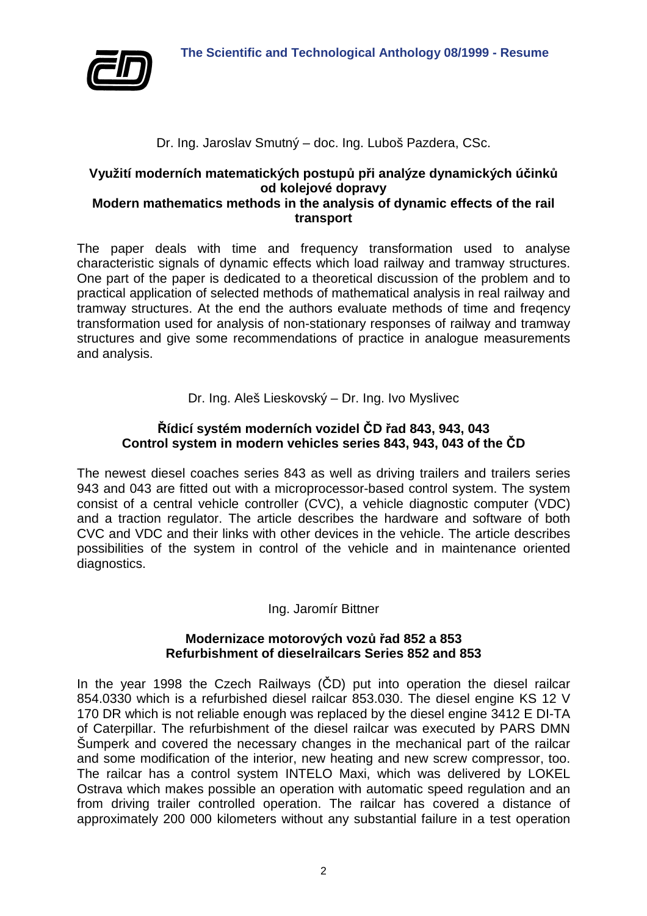

## Dr. Ing. Jaroslav Smutný – doc. Ing. Luboš Pazdera, CSc.

# **Využití moderních matematických postupů při analýze dynamických účinků od kolejové dopravy**

## **Modern mathematics methods in the analysis of dynamic effects of the rail transport**

The paper deals with time and frequency transformation used to analyse characteristic signals of dynamic effects which load railway and tramway structures. One part of the paper is dedicated to a theoretical discussion of the problem and to practical application of selected methods of mathematical analysis in real railway and tramway structures. At the end the authors evaluate methods of time and freqency transformation used for analysis of non-stationary responses of railway and tramway structures and give some recommendations of practice in analogue measurements and analysis.

Dr. Ing. Aleš Lieskovský – Dr. Ing. Ivo Myslivec

## **Řídicí systém moderních vozidel ČD řad 843, 943, 043 Control system in modern vehicles series 843, 943, 043 of the ČD**

The newest diesel coaches series 843 as well as driving trailers and trailers series 943 and 043 are fitted out with a microprocessor-based control system. The system consist of a central vehicle controller (CVC), a vehicle diagnostic computer (VDC) and a traction regulator. The article describes the hardware and software of both CVC and VDC and their links with other devices in the vehicle. The article describes possibilities of the system in control of the vehicle and in maintenance oriented diagnostics.

## Ing. Jaromír Bittner

#### **Modernizace motorových vozů řad 852 a 853 Refurbishment of dieselrailcars Series 852 and 853**

In the year 1998 the Czech Railways (ČD) put into operation the diesel railcar 854.0330 which is a refurbished diesel railcar 853.030. The diesel engine KS 12 V 170 DR which is not reliable enough was replaced by the diesel engine 3412 E DI-TA of Caterpillar. The refurbishment of the diesel railcar was executed by PARS DMN Šumperk and covered the necessary changes in the mechanical part of the railcar and some modification of the interior, new heating and new screw compressor, too. The railcar has a control system INTELO Maxi, which was delivered by LOKEL Ostrava which makes possible an operation with automatic speed regulation and an from driving trailer controlled operation. The railcar has covered a distance of approximately 200 000 kilometers without any substantial failure in a test operation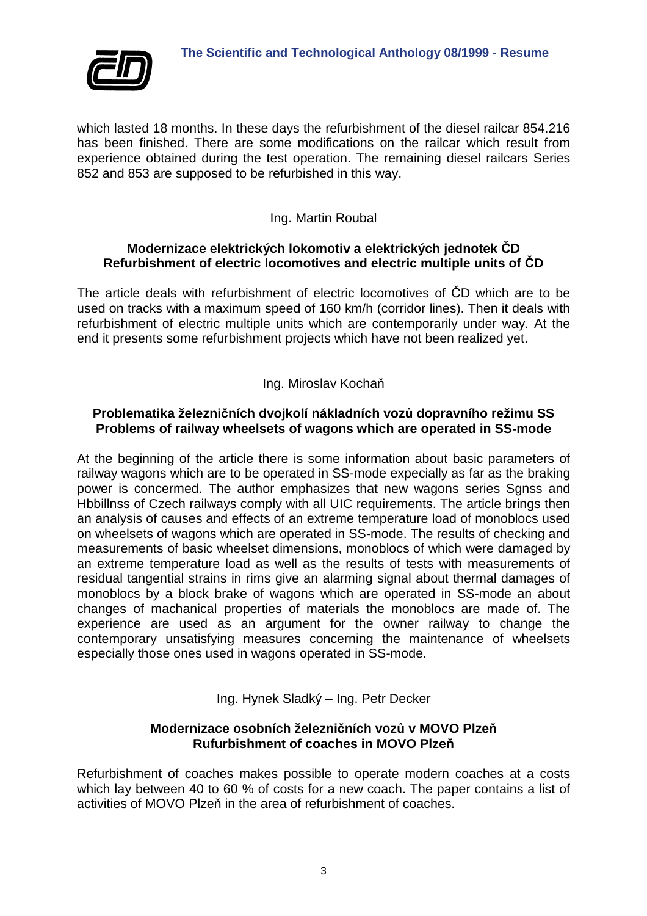

which lasted 18 months. In these days the refurbishment of the diesel railcar 854.216 has been finished. There are some modifications on the railcar which result from experience obtained during the test operation. The remaining diesel railcars Series 852 and 853 are supposed to be refurbished in this way.

## Ing. Martin Roubal

#### **Modernizace elektrických lokomotiv a elektrických jednotek ČD Refurbishment of electric locomotives and electric multiple units of ČD**

The article deals with refurbishment of electric locomotives of ČD which are to be used on tracks with a maximum speed of 160 km/h (corridor lines). Then it deals with refurbishment of electric multiple units which are contemporarily under way. At the end it presents some refurbishment projects which have not been realized yet.

## Ing. Miroslav Kochaň

## **Problematika železničních dvojkolí nákladních vozů dopravního režimu SS Problems of railway wheelsets of wagons which are operated in SS-mode**

At the beginning of the article there is some information about basic parameters of railway wagons which are to be operated in SS-mode expecially as far as the braking power is concermed. The author emphasizes that new wagons series Sgnss and Hbbillnss of Czech railways comply with all UIC requirements. The article brings then an analysis of causes and effects of an extreme temperature load of monoblocs used on wheelsets of wagons which are operated in SS-mode. The results of checking and measurements of basic wheelset dimensions, monoblocs of which were damaged by an extreme temperature load as well as the results of tests with measurements of residual tangential strains in rims give an alarming signal about thermal damages of monoblocs by a block brake of wagons which are operated in SS-mode an about changes of machanical properties of materials the monoblocs are made of. The experience are used as an argument for the owner railway to change the contemporary unsatisfying measures concerning the maintenance of wheelsets especially those ones used in wagons operated in SS-mode.

Ing. Hynek Sladký – Ing. Petr Decker

## **Modernizace osobních železničních vozů v MOVO Plzeň Rufurbishment of coaches in MOVO Plzeň**

Refurbishment of coaches makes possible to operate modern coaches at a costs which lay between 40 to 60 % of costs for a new coach. The paper contains a list of activities of MOVO Plzeň in the area of refurbishment of coaches.